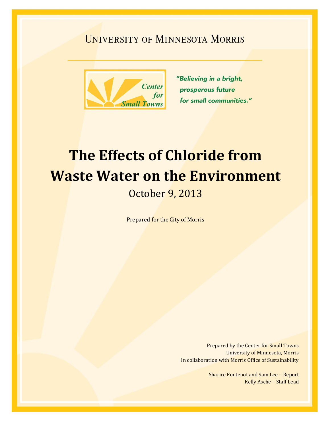## **UNIVERSITY OF MINNESOTA MORRIS**



"Believing in a bright, prosperous future for small communities."

# **The Effects of Chloride from Waste Water on the Environment**

October 9, 2013

Prepared for the City of Morris

Prepared by the Center for Small Towns University of Minnesota, Morris In collaboration with Morris Office of Sustainability

> Sharice Fontenot and Sam Lee – Report Kelly Asche – Staff Lead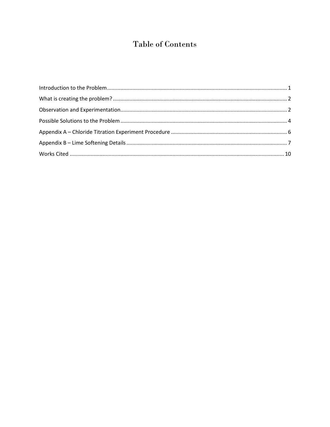## Table of Contents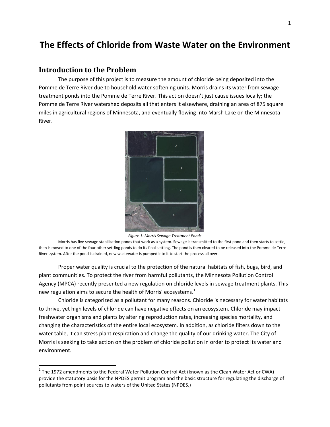### **The Effects of Chloride from Waste Water on the Environment**

#### <span id="page-3-0"></span>**Introduction to the Problem**

 $\overline{\phantom{a}}$ 

The purpose of this project is to measure the amount of chloride being deposited into the Pomme de Terre River due to household water softening units. Morris drains its water from sewage treatment ponds into the Pomme de Terre River. This action doesn't just cause issues locally; the Pomme de Terre River watershed deposits all that enters it elsewhere, draining an area of 875 square miles in agricultural regions of Minnesota, and eventually flowing into Marsh Lake on the Minnesota River.



*Figure 1: Morris Sewage Treatment Ponds*

Morris has five sewage stabilization ponds that work as a system. Sewage is transmitted to the first pond and then starts to settle, then is moved to one of the four other settling ponds to do its final settling. The pond is then cleared to be released into the Pomme de Terre River system. After the pond is drained, new wastewater is pumped into it to start the process all over.

Proper water quality is crucial to the protection of the natural habitats of fish, bugs, bird, and plant communities. To protect the river from harmful pollutants, the Minnesota Pollution Control Agency (MPCA) recently presented a new regulation on chloride levels in sewage treatment plants. This new regulation aims to secure the health of Morris' ecosystems.<sup>1</sup>

Chloride is categorized as a pollutant for many reasons. Chloride is necessary for water habitats to thrive, yet high levels of chloride can have negative effects on an ecosystem. Chloride may impact freshwater organisms and plants by altering reproduction rates, increasing species mortality, and changing the characteristics of the entire local ecosystem. In addition, as chloride filters down to the water table, it can stress plant respiration and change the quality of our drinking water. The City of Morris is seeking to take action on the problem of chloride pollution in order to protect its water and environment.

 $^1$  The 1972 amendments to the Federal Water Pollution Control Act (known as the Clean Water Act or CWA) provide the statutory basis for the NPDES permit program and the basic structure for regulating the discharge of pollutants from point sources to waters of the United States (NPDES.)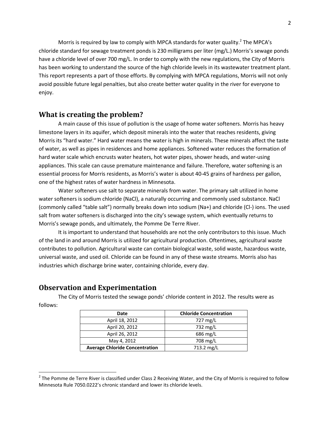Morris is required by law to comply with MPCA standards for water quality.<sup>2</sup> The MPCA's chloride standard for sewage treatment ponds is 230 milligrams per liter (mg/L.) Morris's sewage ponds have a chloride level of over 700 mg/L. In order to comply with the new regulations, the City of Morris has been working to understand the source of the high chloride levels in its wastewater treatment plant. This report represents a part of those efforts. By complying with MPCA regulations, Morris will not only avoid possible future legal penalties, but also create better water quality in the river for everyone to enjoy.

#### <span id="page-4-0"></span>**What is creating the problem?**

A main cause of this issue of pollution is the usage of home water softeners. Morris has heavy limestone layers in its aquifer, which deposit minerals into the water that reaches residents, giving Morris its "hard water." Hard water means the water is high in minerals. These minerals affect the taste of water, as well as pipes in residences and home appliances. Softened water reduces the formation of hard water scale which encrusts water heaters, hot water pipes, shower heads, and water-using appliances. This scale can cause premature maintenance and failure. Therefore, water softening is an essential process for Morris residents, as Morris's water is about 40-45 grains of hardness per gallon, one of the highest rates of water hardness in Minnesota.

Water softeners use salt to separate minerals from water. The primary salt utilized in home water softeners is sodium chloride (NaCl), a naturally occurring and commonly used substance. NaCl (commonly called "table salt") normally breaks down into sodium (Na+) and chloride (Cl-) ions. The used salt from water softeners is discharged into the city's sewage system, which eventually returns to Morris's sewage ponds, and ultimately, the Pomme De Terre River.

It is important to understand that households are not the only contributors to this issue. Much of the land in and around Morris is utilized for agricultural production. Oftentimes, agricultural waste contributes to pollution. Agricultural waste can contain biological waste, solid waste, hazardous waste, universal waste, and used oil. Chloride can be found in any of these waste streams. Morris also has industries which discharge brine water, containing chloride, every day.

#### <span id="page-4-1"></span>**Observation and Experimentation**

l

The City of Morris tested the sewage ponds' chloride content in 2012. The results were as follows:

| Date                                  | <b>Chloride Concentration</b> |  |  |
|---------------------------------------|-------------------------------|--|--|
| April 18, 2012                        | 727 mg/L                      |  |  |
| April 20, 2012                        | 732 mg/L                      |  |  |
| April 26, 2012                        | $686$ mg/L                    |  |  |
| May 4, 2012                           | 708 mg/L                      |  |  |
| <b>Average Chloride Concentration</b> | 713.2 mg/L                    |  |  |

 $^2$  The Pomme de Terre River is classified under Class 2 Receiving Water, and the City of Morris is required to follow Minnesota Rule 7050.0222's chronic standard and lower its chloride levels.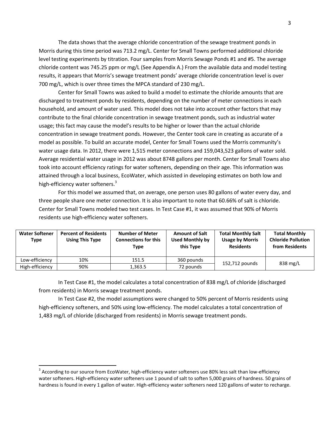The data shows that the average chloride concentration of the sewage treatment ponds in Morris during this time period was 713.2 mg/L. Center for Small Towns performed additional chloride level testing experiments by titration. Four samples from Morris Sewage Ponds #1 and #5. The average chloride content was 745.25 ppm or mg/L (See Appendix A.) From the available data and model testing results, it appears that Morris's sewage treatment ponds' average chloride concentration level is over 700 mg/L, which is over three times the MPCA standard of 230 mg/L.

Center for Small Towns was asked to build a model to estimate the chloride amounts that are discharged to treatment ponds by residents, depending on the number of meter connections in each household, and amount of water used. This model does not take into account other factors that may contribute to the final chloride concentration in sewage treatment ponds, such as industrial water usage; this fact may cause the model's results to be higher or lower than the actual chloride concentration in sewage treatment ponds. However, the Center took care in creating as accurate of a model as possible. To build an accurate model, Center for Small Towns used the Morris community's water usage data. In 2012, there were 1,515 meter connections and 159,043,523 gallons of water sold. Average residential water usage in 2012 was about 8748 gallons per month. Center for Small Towns also took into account efficiency ratings for water softeners, depending on their age. This information was attained through a local business, EcoWater, which assisted in developing estimates on both low and high-efficiency water softeners.<sup>3</sup>

For this model we assumed that, on average, one person uses 80 gallons of water every day, and three people share one meter connection. It is also important to note that 60.66% of salt is chloride. Center for Small Towns modeled two test cases. In Test Case #1, it was assumed that 90% of Morris residents use high-efficiency water softeners.

| <b>Water Softener</b><br><b>Type</b> | <b>Percent of Residents</b><br><b>Using This Type</b> | <b>Number of Meter</b><br><b>Connections for this</b><br>Type | <b>Amount of Salt</b><br><b>Used Monthly by</b><br>this Type | <b>Total Monthly Salt</b><br><b>Usage by Morris</b><br><b>Residents</b> | <b>Total Monthly</b><br><b>Chloride Pollution</b><br>from Residents |
|--------------------------------------|-------------------------------------------------------|---------------------------------------------------------------|--------------------------------------------------------------|-------------------------------------------------------------------------|---------------------------------------------------------------------|
| Low-efficiency                       | 10%                                                   | 151.5                                                         | 360 pounds                                                   | 152,712 pounds                                                          | $838 \text{ mg/L}$                                                  |
| High-efficiency                      | 90%                                                   | 1,363.5                                                       | 72 pounds                                                    |                                                                         |                                                                     |

In Test Case #1, the model calculates a total concentration of 838 mg/L of chloride (discharged from residents) in Morris sewage treatment ponds.

In Test Case #2, the model assumptions were changed to 50% percent of Morris residents using high-efficiency softeners, and 50% using low-efficiency. The model calculates a total concentration of 1,483 mg/L of chloride (discharged from residents) in Morris sewage treatment ponds.

 $\overline{\phantom{a}}$ 

 $^3$  According to our source from EcoWater, high-efficiency water softeners use 80% less salt than low-efficiency water softeners. High-efficiency water softeners use 1 pound of salt to soften 5,000 grains of hardness. 50 grains of hardness is found in every 1 gallon of water. High-efficiency water softeners need 120 gallons of water to recharge.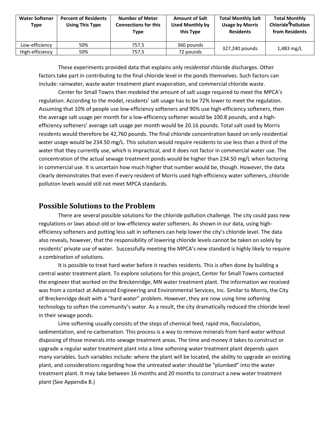| <b>Water Softener</b><br>Type | <b>Percent of Residents</b><br><b>Using This Type</b> | <b>Number of Meter</b><br><b>Connections for this</b><br>Type | <b>Amount of Salt</b><br><b>Used Monthly by</b><br>this Type | <b>Total Monthly Salt</b><br><b>Usage by Morris</b><br><b>Residents</b> | <b>Total Monthly</b><br>Chloride <sup>4</sup> Pollution<br>from Residents |
|-------------------------------|-------------------------------------------------------|---------------------------------------------------------------|--------------------------------------------------------------|-------------------------------------------------------------------------|---------------------------------------------------------------------------|
| Low-efficiency                | 50%                                                   | 757.5                                                         | 360 pounds                                                   | 327,240 pounds                                                          |                                                                           |
| High-efficiency               | 50%                                                   | 757.5                                                         | 72 pounds                                                    |                                                                         | 1,483 mg/L                                                                |

These experiments provided data that explains only *residential* chloride discharges. Other factors take part in contributing to the final chloride level in the ponds themselves. Such factors can include: rainwater, waste water treatment plant evaporation, and commercial chloride waste.

Center for Small Towns then modeled the amount of salt usage required to meet the MPCA's regulation. According to the model, residents' salt usage has to be 72% lower to meet the regulation. Assuming that 10% of people use low-efficiency softeners and 90% use high-efficiency softeners, then the average salt usage per month for a low-efficiency softener would be 100.8 pounds, and a highefficiency softeners' average salt usage per month would be 20.16 pounds. Total salt used by Morris residents would therefore be 42,760 pounds. The final chloride concentration based on only residential water usage would be 234.50 mg/L. This solution would require residents to use less than a third of the water that they currently use, which is impractical, and it does not factor in commercial water use. The concentration of the actual sewage treatment ponds would be higher than 234.50 mg/L when factoring in commercial use. It is uncertain how much higher that number would be, though. However, the data clearly demonstrates that even if every resident of Morris used high-efficiency water softeners, chloride pollution levels would still not meet MPCA standards.

#### <span id="page-6-0"></span>**Possible Solutions to the Problem**

There are several possible solutions for the chloride pollution challenge. The city could pass new regulations or laws about old or low-efficiency water softeners. As shown in our data, using highefficiency softeners and putting less salt in softeners can help lower the city's chloride level. The data also reveals, however, that the responsibility of lowering chloride levels cannot be taken on solely by residents' private use of water. Successfully meeting the MPCA's new standard is highly likely to require a combination of solutions.

It is possible to treat hard water before it reaches residents. This is often done by building a central water treatment plant. To explore solutions for this project, Center for Small Towns contacted the engineer that worked on the Breckenridge, MN water treatment plant. The information we received was from a contact at Advanced Engineering and Environmental Services, Inc. Similar to Morris, the City of Breckenridge dealt with a "hard water" problem. However, they are now using lime softening technology to soften the community's water. As a result, the city dramatically reduced the chloride level in their sewage ponds.

Lime softening usually consists of the steps of chemical feed, rapid mix, flocculation, sedimentation, and re-carbonation. This process is a way to remove minerals from hard water without disposing of those minerals into sewage treatment areas. The time and money it takes to construct or upgrade a regular water treatment plant into a lime softening water treatment plant depends upon many variables. Such variables include: where the plant will be located, the ability to upgrade an existing plant, and considerations regarding how the untreated water should be "plumbed" into the water treatment plant. It may take between 16 months and 20 months to construct a new water treatment plant (See Appendix B.)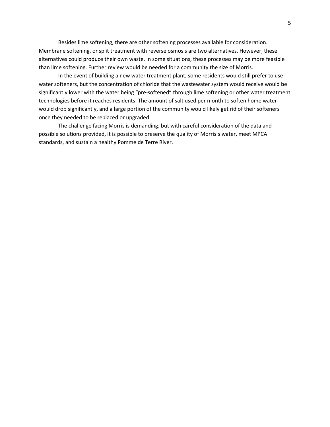Besides lime softening, there are other softening processes available for consideration. Membrane softening, or split treatment with reverse osmosis are two alternatives. However, these alternatives could produce their own waste. In some situations, these processes may be more feasible than lime softening. Further review would be needed for a community the size of Morris.

In the event of building a new water treatment plant, some residents would still prefer to use water softeners, but the concentration of chloride that the wastewater system would receive would be significantly lower with the water being "pre-softened" through lime softening or other water treatment technologies before it reaches residents. The amount of salt used per month to soften home water would drop significantly, and a large portion of the community would likely get rid of their softeners once they needed to be replaced or upgraded.

The challenge facing Morris is demanding, but with careful consideration of the data and possible solutions provided, it is possible to preserve the quality of Morris's water, meet MPCA standards, and sustain a healthy Pomme de Terre River.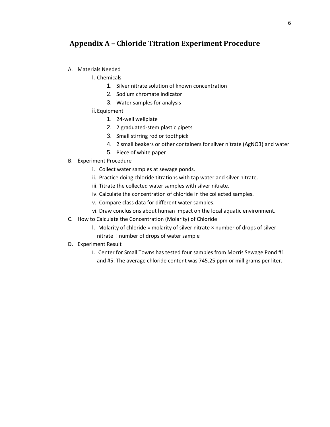#### <span id="page-8-0"></span>**Appendix A – Chloride Titration Experiment Procedure**

- A. Materials Needed
	- i. Chemicals
		- 1. Silver nitrate solution of known concentration
		- 2. Sodium chromate indicator
		- 3. Water samples for analysis
	- ii.Equipment
		- 1. 24-well wellplate
		- 2. 2 graduated-stem plastic pipets
		- 3. Small stirring rod or toothpick
		- 4. 2 small beakers or other containers for silver nitrate (AgNO3) and water
		- 5. Piece of white paper
- B. Experiment Procedure
	- i. Collect water samples at sewage ponds.
	- ii. Practice doing chloride titrations with tap water and silver nitrate.
	- iii. Titrate the collected water samples with silver nitrate.
	- iv. Calculate the concentration of chloride in the collected samples.
	- v. Compare class data for different water samples.
	- vi. Draw conclusions about human impact on the local aquatic environment.
- C. How to Calculate the Concentration (Molarity) of Chloride
	- i. Molarity of chloride = molarity of silver nitrate  $\times$  number of drops of silver nitrate ÷ number of drops of water sample
- <span id="page-8-1"></span>D. Experiment Result
	- i. Center for Small Towns has tested four samples from Morris Sewage Pond #1 and #5. The average chloride content was 745.25 ppm or milligrams per liter.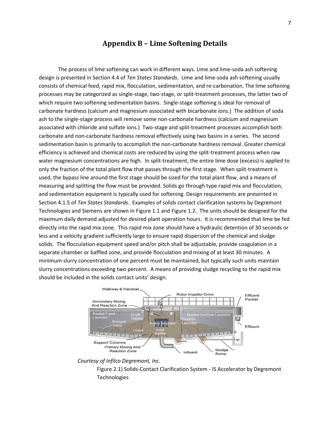#### **Appendix B – Lime Softening Details**

The process of lime softening can work in different ways. Lime and lime-soda ash softening design is presented in Section 4.4 of *Ten States Standards*. Lime and lime-soda ash softening usually consists of chemical feed, rapid mix, flocculation, sedimentation, and re-carbonation. The lime softening processes may be categorized as single-stage, two-stage, or split-treatment processes, the latter two of which require two softening sedimentation basins. Single-stage softening is ideal for removal of carbonate hardness (calcium and magnesium associated with bicarbonate ions.) The addition of soda ash to the single-stage process will remove some non-carbonate hardness (calcium and magnesium associated with chloride and sulfate ions.) Two-stage and split-treatment processes accomplish both carbonate and non-carbonate hardness removal effectively using two basins in a series. The second sedimentation basin is primarily to accomplish the non-carbonate hardness removal. Greater chemical efficiency is achieved and chemical costs are reduced by using the split-treatment process when raw water magnesium concentrations are high. In split-treatment, the entire lime dose (excess) is applied to only the fraction of the total plant flow that passes through the first stage. When split-treatment is used, the bypass line around the first stage should be sized for the total plant flow, and a means of measuring and splitting the flow must be provided. Solids go through type rapid mix and flocculation, and sedimentation equipment is typically used for softening. Design requirements are presented in Section 4.1.5 of *Ten States Standards*. Examples of solids contact clarification systems by Degremont Technologies and Siemens are shown in Figure 1.1 and Figure 1.2. The units should be designed for the maximum daily demand adjusted for desired plant operation hours. It is recommended that lime be fed directly into the rapid mix zone. This rapid mix zone should have a hydraulic detention of 30 seconds or less and a velocity gradient sufficiently large to ensure rapid dispersion of the chemical and sludge solids. The flocculation equipment speed and/or pitch shall be adjustable, provide coagulation in a separate chamber or baffled zone, and provide flocculation and mixing of at least 30 minutes. A minimum slurry concentration of one percent must be maintained, but typically such units maintain slurry concentrations exceeding two percent. A means of providing sludge recycling to the rapid mix should be included in the solids contact units' design.



*Courtesy of Infilco Degremont, Inc.*

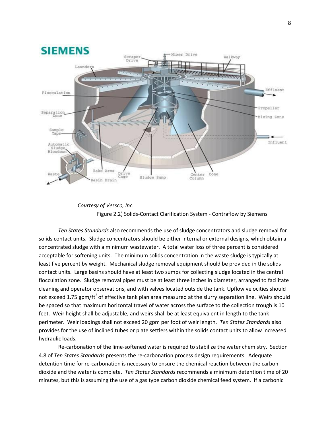

#### *Courtesy of Vessco, Inc.* Figure 2.2) Solids-Contact Clarification System - Contraflow by Siemens

*Ten States Standards* also recommends the use of sludge concentrators and sludge removal for solids contact units. Sludge concentrators should be either internal or external designs, which obtain a concentrated sludge with a minimum wastewater. A total water loss of three percent is considered acceptable for softening units. The minimum solids concentration in the waste sludge is typically at least five percent by weight. Mechanical sludge removal equipment should be provided in the solids contact units. Large basins should have at least two sumps for collecting sludge located in the central flocculation zone. Sludge removal pipes must be at least three inches in diameter, arranged to facilitate cleaning and operator observations, and with valves located outside the tank. Upflow velocities should not exceed 1.75 gpm/ft<sup>2</sup> of effective tank plan area measured at the slurry separation line. Weirs should be spaced so that maximum horizontal travel of water across the surface to the collection trough is 10 feet. Weir height shall be adjustable, and weirs shall be at least equivalent in length to the tank perimeter. Weir loadings shall not exceed 20 gpm per foot of weir length. *Ten States Standards* also provides for the use of inclined tubes or plate settlers within the solids contact units to allow increased hydraulic loads.

Re-carbonation of the lime-softened water is required to stabilize the water chemistry. Section 4.8 of *Ten States Standards* presents the re-carbonation process design requirements. Adequate detention time for re-carbonation is necessary to ensure the chemical reaction between the carbon dioxide and the water is complete. *Ten States Standards* recommends a minimum detention time of 20 minutes, but this is assuming the use of a gas type carbon dioxide chemical feed system. If a carbonic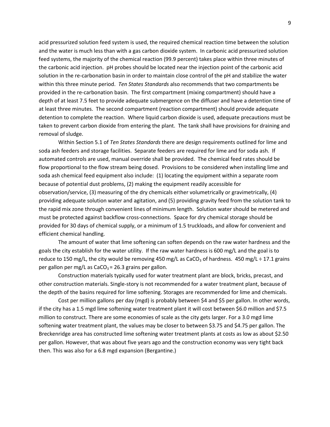acid pressurized solution feed system is used, the required chemical reaction time between the solution and the water is much less than with a gas carbon dioxide system. In carbonic acid pressurized solution feed systems, the majority of the chemical reaction (99.9 percent) takes place within three minutes of the carbonic acid injection. pH probes should be located near the injection point of the carbonic acid solution in the re-carbonation basin in order to maintain close control of the pH and stabilize the water within this three minute period. *Ten States Standards* also recommends that two compartments be provided in the re-carbonation basin. The first compartment (mixing compartment) should have a depth of at least 7.5 feet to provide adequate submergence on the diffuser and have a detention time of at least three minutes. The second compartment (reaction compartment) should provide adequate detention to complete the reaction. Where liquid carbon dioxide is used, adequate precautions must be taken to prevent carbon dioxide from entering the plant. The tank shall have provisions for draining and removal of sludge.

Within Section 5.1 of *Ten States Standards* there are design requirements outlined for lime and soda ash feeders and storage facilities. Separate feeders are required for lime and for soda ash. If automated controls are used, manual override shall be provided. The chemical feed rates should be flow proportional to the flow stream being dosed. Provisions to be considered when installing lime and soda ash chemical feed equipment also include: (1) locating the equipment within a separate room because of potential dust problems, (2) making the equipment readily accessible for observation/service, (3) measuring of the dry chemicals either volumetrically or gravimetrically, (4) providing adequate solution water and agitation, and (5) providing gravity feed from the solution tank to the rapid mix zone through convenient lines of minimum length. Solution water should be metered and must be protected against backflow cross-connections. Space for dry chemical storage should be provided for 30 days of chemical supply, or a minimum of 1.5 truckloads, and allow for convenient and efficient chemical handling.

The amount of water that lime softening can soften depends on the raw water hardness and the goals the city establish for the water utility. If the raw water hardness is 600 mg/L and the goal is to reduce to 150 mg/L, the city would be removing 450 mg/L as CaCO<sub>3</sub> of hardness. 450 mg/L ÷ 17.1 grains per gallon per mg/L as  $CaCO<sub>3</sub> = 26.3$  grains per gallon.

Construction materials typically used for water treatment plant are block, bricks, precast, and other construction materials. Single-story is not recommended for a water treatment plant, because of the depth of the basins required for lime softening. Storages are recommended for lime and chemicals.

Cost per million gallons per day (mgd) is probably between \$4 and \$5 per gallon. In other words, if the city has a 1.5 mgd lime softening water treatment plant it will cost between \$6.0 million and \$7.5 million to construct. There are some economies of scale as the city gets larger. For a 3.0 mgd lime softening water treatment plant, the values may be closer to between \$3.75 and \$4.75 per gallon. The Breckenridge area has constructed lime softening water treatment plants at costs as low as about \$2.50 per gallon. However, that was about five years ago and the construction economy was very tight back then. This was also for a 6.8 mgd expansion (Bergantine.)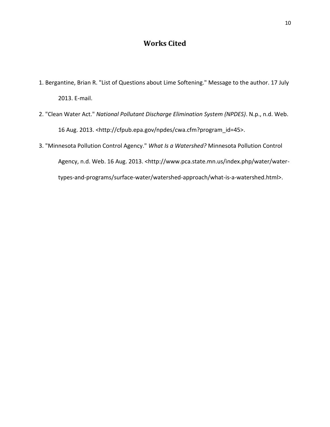#### **Works Cited**

- <span id="page-12-0"></span>1. Bergantine, Brian R. "List of Questions about Lime Softening." Message to the author. 17 July 2013. E-mail.
- 2. "Clean Water Act." *National Pollutant Discharge Elimination System (NPDES)*. N.p., n.d. Web. 16 Aug. 2013. <http://cfpub.epa.gov/npdes/cwa.cfm?program\_id=45>.
- 3. "Minnesota Pollution Control Agency." *What Is a Watershed?* Minnesota Pollution Control Agency, n.d. Web. 16 Aug. 2013. <http://www.pca.state.mn.us/index.php/water/watertypes-and-programs/surface-water/watershed-approach/what-is-a-watershed.html>.